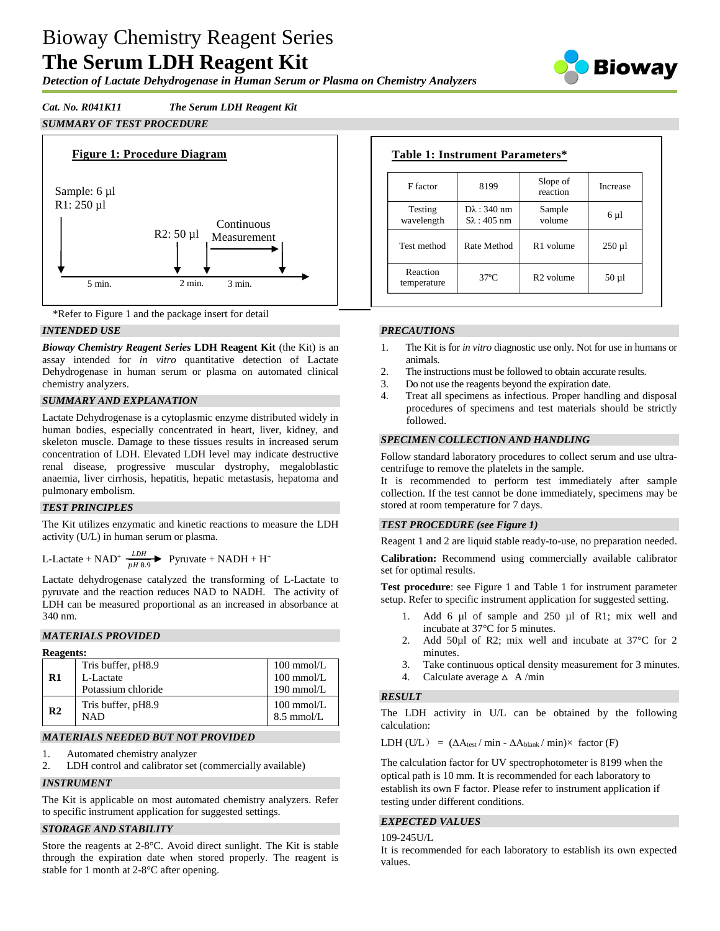# Bioway Chemistry Reagent Series **The Serum LDH Reagent Kit**

*Detection of Lactate Dehydrogenase in Human Serum or Plasma on Chemistry Analyzers*



# *Cat. No. R041K11 The Serum LDH Reagent Kit*

# *SUMMARY OF TEST PROCEDURE*





# *INTENDED USE*

*Bioway Chemistry Reagent Series* **LDH Reagent Kit** (the Kit) is an assay intended for *in vitro* quantitative detection of Lactate Dehydrogenase in human serum or plasma on automated clinical chemistry analyzers.

## *SUMMARY AND EXPLANATION*

Lactate Dehydrogenase is a cytoplasmic enzyme distributed widely in human bodies, especially concentrated in heart, liver, kidney, and skeleton muscle. Damage to these tissues results in increased serum concentration of LDH. Elevated LDH level may indicate destructive renal disease, progressive muscular dystrophy, megaloblastic anaemia, liver cirrhosis, hepatitis, hepatic metastasis, hepatoma and pulmonary embolism.

# *TEST PRINCIPLES*

The Kit utilizes enzymatic and kinetic reactions to measure the LDH activity (U/L) in human serum or plasma.

L-Lactate + NAD<sup>+</sup>  $\frac{LDH}{pH 8.9}$  Pyruvate + NADH + H<sup>+</sup>

Lactate dehydrogenase catalyzed the transforming of L-Lactate to pyruvate and the reaction reduces NAD to NADH. The activity of LDH can be measured proportional as an increased in absorbance at 340 nm.

## *MATERIALS PROVIDED*

| <b>Reagents:</b> |                           |                                              |
|------------------|---------------------------|----------------------------------------------|
|                  | Tris buffer, pH8.9        | $100 \text{ mmol/L}$                         |
| R1               | L-Lactate                 | $100$ mmol/L                                 |
|                  | Potassium chloride        | $190$ mmol/L                                 |
| R <sub>2</sub>   | Tris buffer, pH8.9<br>NAD | $100 \text{ mmol/L}$<br>$8.5 \text{ mmol/L}$ |

## *MATERIALS NEEDED BUT NOT PROVIDED*

- 1. Automated chemistry analyzer
- 2. LDH control and calibrator set (commercially available)

#### *INSTRUMENT*

The Kit is applicable on most automated chemistry analyzers. Refer to specific instrument application for suggested settings.

# *STORAGE AND STABILITY*

Store the reagents at 2-8°C. Avoid direct sunlight. The Kit is stable through the expiration date when stored properly. The reagent is stable for 1 month at 2-8°C after opening.

| F factor                | 8199                                          | Slope of<br>reaction  | Increase    |
|-------------------------|-----------------------------------------------|-----------------------|-------------|
| Testing<br>wavelength   | $D\lambda$ : 340 nm<br>$S_{\lambda}$ : 405 nm | Sample<br>volume      | $6 \mu l$   |
| Test method             | Rate Method                                   | R <sub>1</sub> volume | $250 \mu l$ |
| Reaction<br>temperature | $37^\circ$ C                                  | R <sub>2</sub> volume | $50 \mu l$  |

## *PRECAUTIONS*

- 1. The Kit is for *in vitro* diagnostic use only. Not for use in humans or animals.
- 2. The instructions must be followed to obtain accurate results.
- 3. Do not use the reagents beyond the expiration date.
- 4. Treat all specimens as infectious. Proper handling and disposal procedures of specimens and test materials should be strictly followed.

#### *SPECIMEN COLLECTION AND HANDLING*

Follow standard laboratory procedures to collect serum and use ultracentrifuge to remove the platelets in the sample.

It is recommended to perform test immediately after sample collection. If the test cannot be done immediately, specimens may be stored at room temperature for 7 days.

## *TEST PROCEDURE (see Figure 1)*

Reagent 1 and 2 are liquid stable ready-to-use, no preparation needed.

**Calibration:** Recommend using commercially available calibrator set for optimal results.

**Test procedure**: see Figure 1 and Table 1 for instrument parameter setup. Refer to specific instrument application for suggested setting.

- 1. Add 6 µl of sample and 250 µl of R1; mix well and incubate at 37°C for 5 minutes.
- 2. Add 50µl of R2; mix well and incubate at 37 °C for 2 minutes.
- 3. Take continuous optical density measurement for 3 minutes.
- 4. Calculate average  $\triangle$  A/min

## *RESULT*

The LDH activity in U/L can be obtained by the following calculation:

LDH (U/L) =  $(\Delta A_{\text{test}} / \min - \Delta A_{\text{blank}} / \min) \times$  factor (F)

The calculation factor for UV spectrophotometer is 8199 when the optical path is 10 mm. It is recommended for each laboratory to establish its own F factor. Please refer to instrument application if testing under different conditions.

#### *EXPECTED VALUES*

109-245U/L

It is recommended for each laboratory to establish its own expected values.

# **Table 1: Instrument Parameters\***